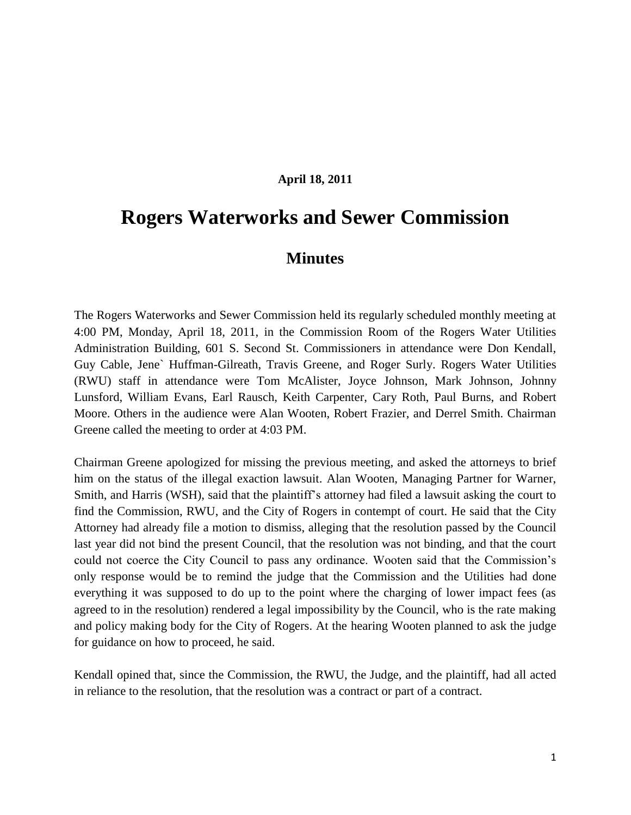## **April 18, 2011**

## **Rogers Waterworks and Sewer Commission**

## **Minutes**

The Rogers Waterworks and Sewer Commission held its regularly scheduled monthly meeting at 4:00 PM, Monday, April 18, 2011, in the Commission Room of the Rogers Water Utilities Administration Building, 601 S. Second St. Commissioners in attendance were Don Kendall, Guy Cable, Jene` Huffman-Gilreath, Travis Greene, and Roger Surly. Rogers Water Utilities (RWU) staff in attendance were Tom McAlister, Joyce Johnson, Mark Johnson, Johnny Lunsford, William Evans, Earl Rausch, Keith Carpenter, Cary Roth, Paul Burns, and Robert Moore. Others in the audience were Alan Wooten, Robert Frazier, and Derrel Smith. Chairman Greene called the meeting to order at 4:03 PM.

Chairman Greene apologized for missing the previous meeting, and asked the attorneys to brief him on the status of the illegal exaction lawsuit. Alan Wooten, Managing Partner for Warner, Smith, and Harris (WSH), said that the plaintiff's attorney had filed a lawsuit asking the court to find the Commission, RWU, and the City of Rogers in contempt of court. He said that the City Attorney had already file a motion to dismiss, alleging that the resolution passed by the Council last year did not bind the present Council, that the resolution was not binding, and that the court could not coerce the City Council to pass any ordinance. Wooten said that the Commission's only response would be to remind the judge that the Commission and the Utilities had done everything it was supposed to do up to the point where the charging of lower impact fees (as agreed to in the resolution) rendered a legal impossibility by the Council, who is the rate making and policy making body for the City of Rogers. At the hearing Wooten planned to ask the judge for guidance on how to proceed, he said.

Kendall opined that, since the Commission, the RWU, the Judge, and the plaintiff, had all acted in reliance to the resolution, that the resolution was a contract or part of a contract.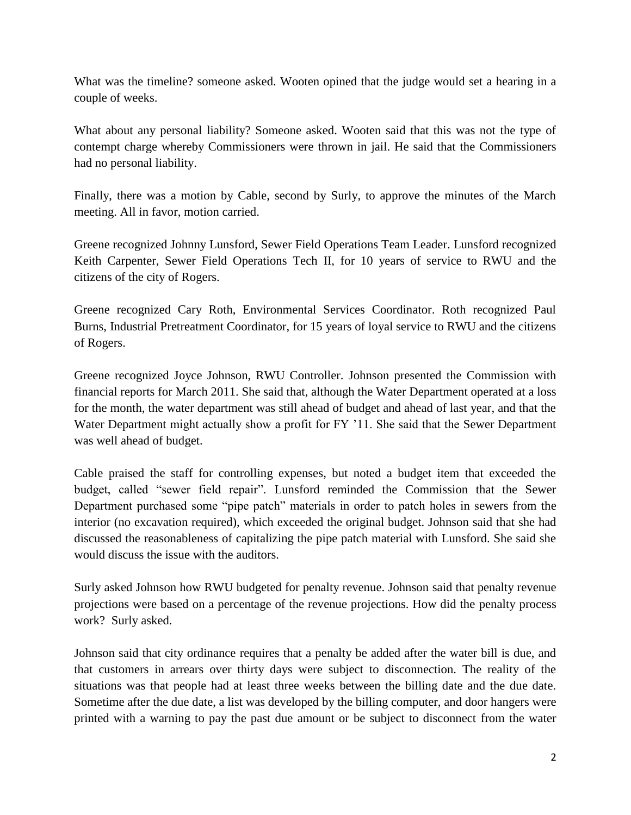What was the timeline? someone asked. Wooten opined that the judge would set a hearing in a couple of weeks.

What about any personal liability? Someone asked. Wooten said that this was not the type of contempt charge whereby Commissioners were thrown in jail. He said that the Commissioners had no personal liability.

Finally, there was a motion by Cable, second by Surly, to approve the minutes of the March meeting. All in favor, motion carried.

Greene recognized Johnny Lunsford, Sewer Field Operations Team Leader. Lunsford recognized Keith Carpenter, Sewer Field Operations Tech II, for 10 years of service to RWU and the citizens of the city of Rogers.

Greene recognized Cary Roth, Environmental Services Coordinator. Roth recognized Paul Burns, Industrial Pretreatment Coordinator, for 15 years of loyal service to RWU and the citizens of Rogers.

Greene recognized Joyce Johnson, RWU Controller. Johnson presented the Commission with financial reports for March 2011. She said that, although the Water Department operated at a loss for the month, the water department was still ahead of budget and ahead of last year, and that the Water Department might actually show a profit for FY '11. She said that the Sewer Department was well ahead of budget.

Cable praised the staff for controlling expenses, but noted a budget item that exceeded the budget, called "sewer field repair". Lunsford reminded the Commission that the Sewer Department purchased some "pipe patch" materials in order to patch holes in sewers from the interior (no excavation required), which exceeded the original budget. Johnson said that she had discussed the reasonableness of capitalizing the pipe patch material with Lunsford. She said she would discuss the issue with the auditors.

Surly asked Johnson how RWU budgeted for penalty revenue. Johnson said that penalty revenue projections were based on a percentage of the revenue projections. How did the penalty process work? Surly asked.

Johnson said that city ordinance requires that a penalty be added after the water bill is due, and that customers in arrears over thirty days were subject to disconnection. The reality of the situations was that people had at least three weeks between the billing date and the due date. Sometime after the due date, a list was developed by the billing computer, and door hangers were printed with a warning to pay the past due amount or be subject to disconnect from the water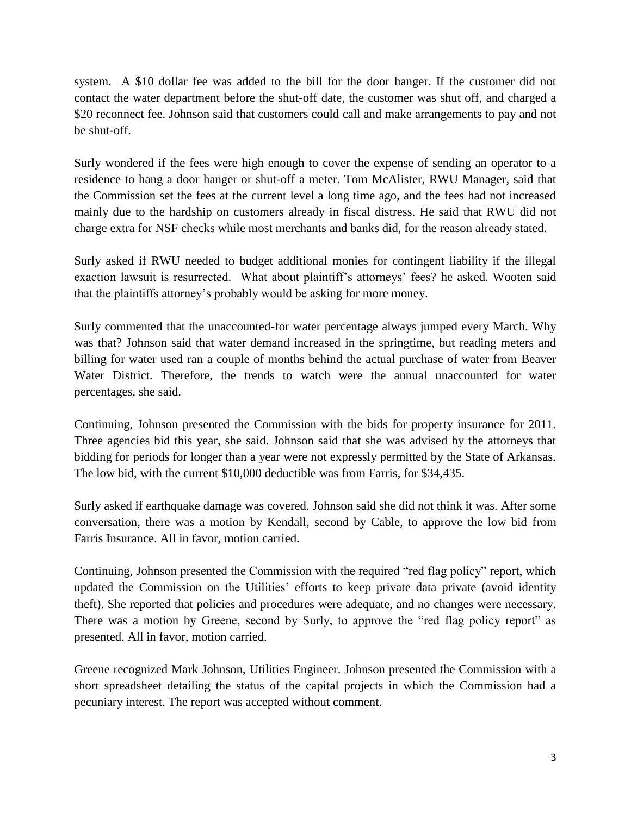system. A \$10 dollar fee was added to the bill for the door hanger. If the customer did not contact the water department before the shut-off date, the customer was shut off, and charged a \$20 reconnect fee. Johnson said that customers could call and make arrangements to pay and not be shut-off.

Surly wondered if the fees were high enough to cover the expense of sending an operator to a residence to hang a door hanger or shut-off a meter. Tom McAlister, RWU Manager, said that the Commission set the fees at the current level a long time ago, and the fees had not increased mainly due to the hardship on customers already in fiscal distress. He said that RWU did not charge extra for NSF checks while most merchants and banks did, for the reason already stated.

Surly asked if RWU needed to budget additional monies for contingent liability if the illegal exaction lawsuit is resurrected. What about plaintiff's attorneys' fees? he asked. Wooten said that the plaintiffs attorney's probably would be asking for more money.

Surly commented that the unaccounted-for water percentage always jumped every March. Why was that? Johnson said that water demand increased in the springtime, but reading meters and billing for water used ran a couple of months behind the actual purchase of water from Beaver Water District. Therefore, the trends to watch were the annual unaccounted for water percentages, she said.

Continuing, Johnson presented the Commission with the bids for property insurance for 2011. Three agencies bid this year, she said. Johnson said that she was advised by the attorneys that bidding for periods for longer than a year were not expressly permitted by the State of Arkansas. The low bid, with the current \$10,000 deductible was from Farris, for \$34,435.

Surly asked if earthquake damage was covered. Johnson said she did not think it was. After some conversation, there was a motion by Kendall, second by Cable, to approve the low bid from Farris Insurance. All in favor, motion carried.

Continuing, Johnson presented the Commission with the required "red flag policy" report, which updated the Commission on the Utilities' efforts to keep private data private (avoid identity theft). She reported that policies and procedures were adequate, and no changes were necessary. There was a motion by Greene, second by Surly, to approve the "red flag policy report" as presented. All in favor, motion carried.

Greene recognized Mark Johnson, Utilities Engineer. Johnson presented the Commission with a short spreadsheet detailing the status of the capital projects in which the Commission had a pecuniary interest. The report was accepted without comment.